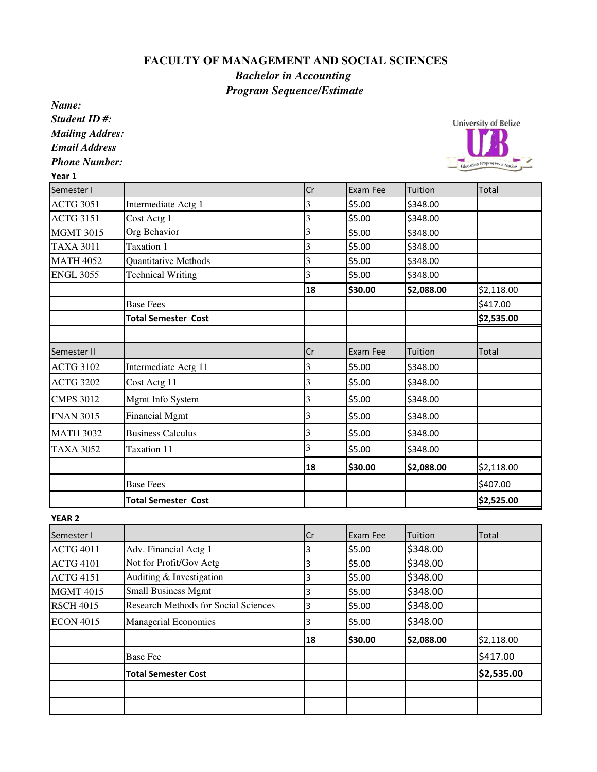## **FACULTY OF MANAGEMENT AND SOCIAL SCIENCES**

## *Bachelor in Accounting Program Sequence/Estimate*

*Name: Student ID #: Mailing Addres: Email Address*

*Phone Number:*

 $\overline{a}$ 

|                            | Cr                   | Exam Fee | Tuition            | Total      |
|----------------------------|----------------------|----------|--------------------|------------|
| Intermediate Actg 1        | 3                    | \$5.00   | \$348.00           |            |
| Cost Actg 1                | 3                    | \$5.00   | \$348.00           |            |
| Org Behavior               | 3                    | \$5.00   | \$348.00           |            |
| Taxation 1                 | 3                    | \$5.00   | \$348.00           |            |
| Quantitative Methods       | 3                    | \$5.00   | \$348.00           |            |
| <b>Technical Writing</b>   | 3                    | \$5.00   | \$348.00           |            |
|                            | 18                   | \$30.00  | \$2,088.00         | \$2,118.00 |
| <b>Base Fees</b>           |                      |          |                    | \$417.00   |
| <b>Total Semester Cost</b> |                      |          |                    | \$2,535.00 |
|                            |                      |          |                    | Total      |
|                            | 3                    |          | \$348.00           |            |
| Cost Actg 11               | 3                    | \$5.00   | \$348.00           |            |
| Mgmt Info System           | 3                    | \$5.00   | \$348.00           |            |
| <b>Financial Mgmt</b>      | 3                    | \$5.00   | \$348.00           |            |
| <b>Business Calculus</b>   | 3                    | \$5.00   | \$348.00           |            |
| Taxation 11                | 3                    | \$5.00   | \$348.00           |            |
|                            | 18                   | \$30.00  | \$2,088.00         | \$2,118.00 |
| <b>Base Fees</b>           |                      |          |                    | \$407.00   |
| <b>Total Semester Cost</b> |                      |          |                    | \$2,525.00 |
|                            | Intermediate Actg 11 | Cr       | Exam Fee<br>\$5.00 | Tuition    |

YEAR 2

| Semester I       |                                             | Cr | Exam Fee | Tuition    | Total      |
|------------------|---------------------------------------------|----|----------|------------|------------|
| <b>ACTG 4011</b> | Adv. Financial Actg 1                       | 3  | \$5.00   | \$348.00   |            |
| <b>ACTG 4101</b> | Not for Profit/Gov Actg                     | 3  | \$5.00   | \$348.00   |            |
| <b>ACTG 4151</b> | Auditing & Investigation                    | 3  | \$5.00   | \$348.00   |            |
| <b>MGMT 4015</b> | <b>Small Business Mgmt</b>                  |    | \$5.00   | \$348.00   |            |
| <b>RSCH 4015</b> | <b>Research Methods for Social Sciences</b> | 3  | \$5.00   | \$348.00   |            |
| <b>ECON 4015</b> | <b>Managerial Economics</b>                 |    | \$5.00   | \$348.00   |            |
|                  |                                             | 18 | \$30.00  | \$2,088.00 | \$2,118.00 |
|                  | <b>Base Fee</b>                             |    |          |            | \$417.00   |
|                  | <b>Total Semester Cost</b>                  |    |          |            | \$2,535.00 |
|                  |                                             |    |          |            |            |
|                  |                                             |    |          |            |            |